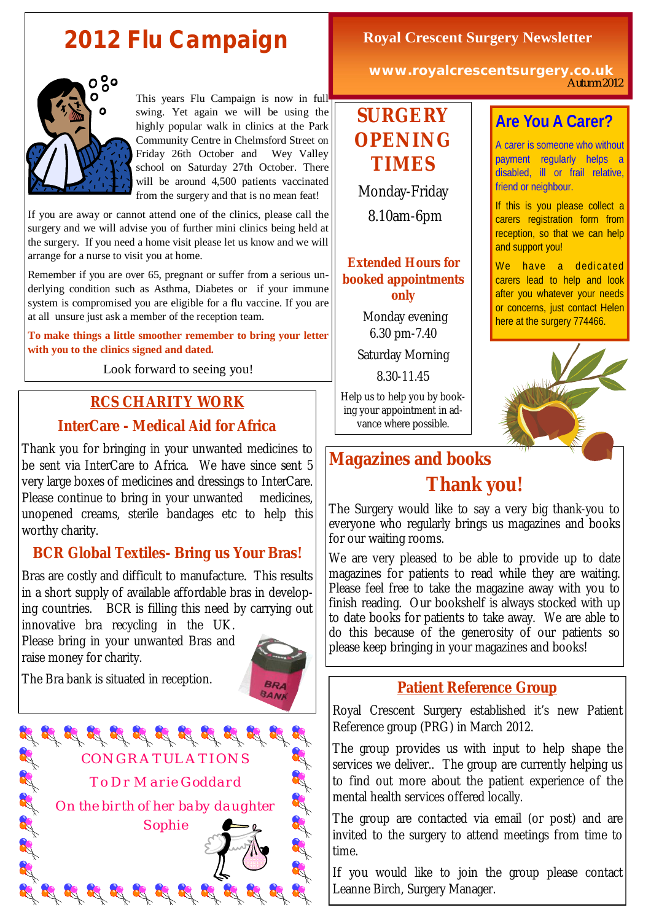# **2012 Flu Campaign**



This years Flu Campaign is now in full swing. Yet again we will be using the highly popular walk in clinics at the Park Community Centre in Chelmsford Street on Friday 26th October and Wey Valley school on Saturday 27th October. There will be around 4,500 patients vaccinated from the surgery and that is no mean feat!

If you are away or cannot attend one of the clinics, please call the surgery and we will advise you of further mini clinics being held at the surgery. If you need a home visit please let us know and we will arrange for a nurse to visit you at home.

Remember if you are over 65, pregnant or suffer from a serious underlying condition such as Asthma, Diabetes or if your immune system is compromised you are eligible for a flu vaccine. If you are at all unsure just ask a member of the reception team.

**To make things a little smoother remember to bring your letter with you to the clinics signed and dated.**

Look forward to seeing you!

### **RCS CHARITY WORK**

#### **InterCare - Medical Aid for Africa**

Thank you for bringing in your unwanted medicines to be sent via InterCare to Africa. We have since sent 5 very large boxes of medicines and dressings to InterCare. Please continue to bring in your unwanted medicines, unopened creams, sterile bandages etc to help this worthy charity.

### **BCR Global Textiles- Bring us Your Bras!**

Bras are costly and difficult to manufacture. This results in a short supply of available affordable bras in developing countries. BCR is filling this need by carrying out innovative bra recycling in the UK.

Please bring in your unwanted Bras and raise money for charity.



The Bra bank is situated in reception.



## **Royal Crescent Surgery Newsletter**

**www.royalcrescentsurgery.co.uk** *Autumn 2012*

# **SURGERY OPENING TIMES**

Monday-Friday 8.10am-6pm

#### **Extended Hours for booked appointments only**

Monday evening 6.30 pm-7.40

Saturday Morning

8.30-11.45

Help us to help you by booking your appointment in advance where possible.

# **Magazines and books Thank you!**

The Surgery would like to say a very big thank-you to everyone who regularly brings us magazines and books for our waiting rooms.

We are very pleased to be able to provide up to date magazines for patients to read while they are waiting. Please feel free to take the magazine away with you to finish reading. Our bookshelf is always stocked with up to date books for patients to take away. We are able to do this because of the generosity of our patients so please keep bringing in your magazines and books!

#### **Patient Reference Group**

Royal Crescent Surgery established it's new Patient Reference group (PRG) in March 2012.

The group provides us with input to help shape the services we deliver.. The group are currently helping us to find out more about the patient experience of the mental health services offered locally.

The group are contacted via email (or post) and are invited to the surgery to attend meetings from time to time.

If you would like to join the group please contact Leanne Birch, Surgery Manager.

## **Are You A Carer?**

A carer is someone who without payment regularly helps a disabled, ill or frail relative, friend or neighbour.

If this is you please collect a carers registration form from reception, so that we can help and support you!

We have a dedicated carers lead to help and look after you whatever your needs or concerns, just contact Helen here at the surgery 774466.